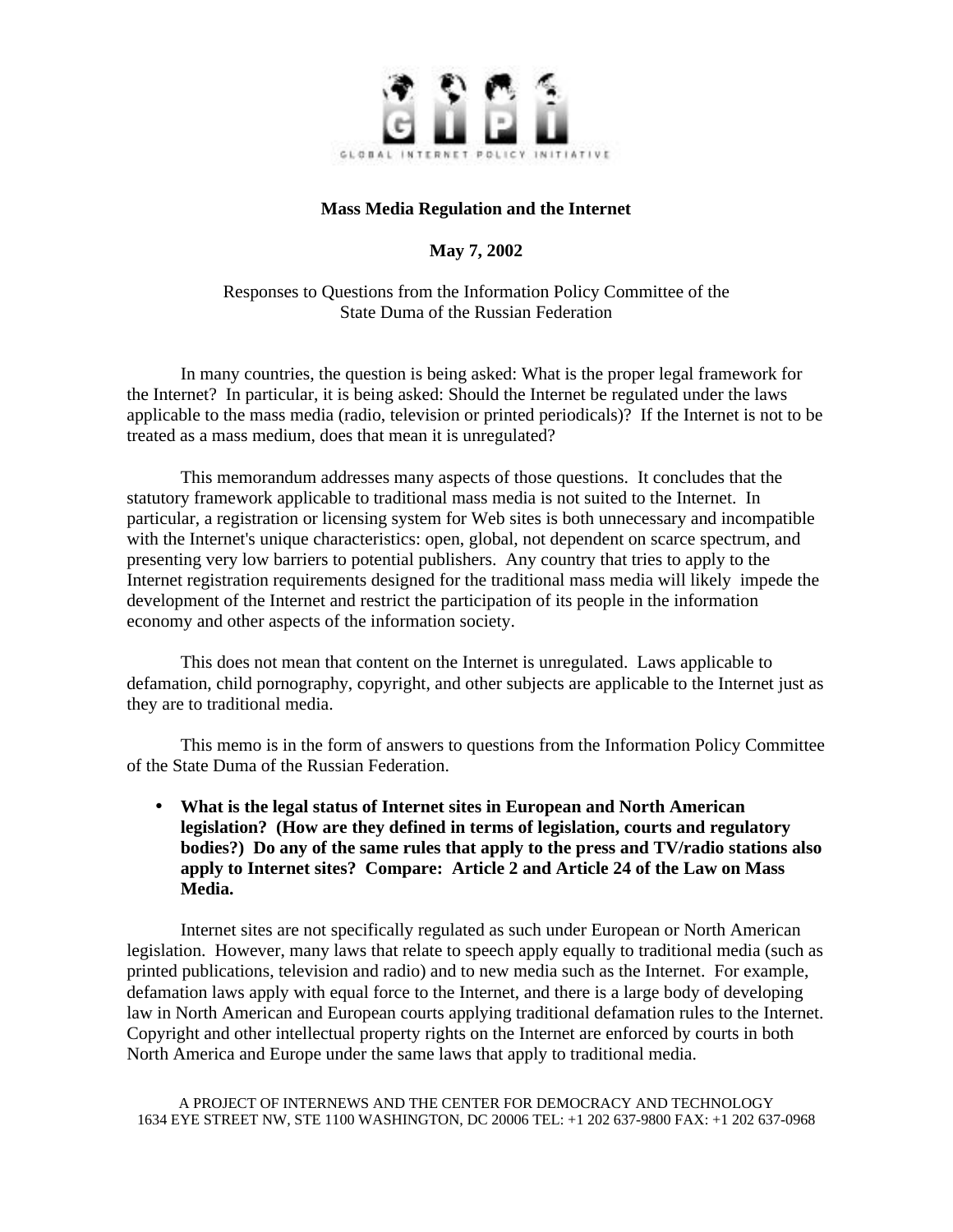

## **Mass Media Regulation and the Internet**

**May 7, 2002**

Responses to Questions from the Information Policy Committee of the State Duma of the Russian Federation

In many countries, the question is being asked: What is the proper legal framework for the Internet? In particular, it is being asked: Should the Internet be regulated under the laws applicable to the mass media (radio, television or printed periodicals)? If the Internet is not to be treated as a mass medium, does that mean it is unregulated?

This memorandum addresses many aspects of those questions. It concludes that the statutory framework applicable to traditional mass media is not suited to the Internet. In particular, a registration or licensing system for Web sites is both unnecessary and incompatible with the Internet's unique characteristics: open, global, not dependent on scarce spectrum, and presenting very low barriers to potential publishers. Any country that tries to apply to the Internet registration requirements designed for the traditional mass media will likely impede the development of the Internet and restrict the participation of its people in the information economy and other aspects of the information society.

This does not mean that content on the Internet is unregulated. Laws applicable to defamation, child pornography, copyright, and other subjects are applicable to the Internet just as they are to traditional media.

This memo is in the form of answers to questions from the Information Policy Committee of the State Duma of the Russian Federation.

• **What is the legal status of Internet sites in European and North American legislation? (How are they defined in terms of legislation, courts and regulatory bodies?) Do any of the same rules that apply to the press and TV/radio stations also apply to Internet sites? Compare: Article 2 and Article 24 of the Law on Mass Media.**

Internet sites are not specifically regulated as such under European or North American legislation. However, many laws that relate to speech apply equally to traditional media (such as printed publications, television and radio) and to new media such as the Internet. For example, defamation laws apply with equal force to the Internet, and there is a large body of developing law in North American and European courts applying traditional defamation rules to the Internet. Copyright and other intellectual property rights on the Internet are enforced by courts in both North America and Europe under the same laws that apply to traditional media.

A PROJECT OF INTERNEWS AND THE CENTER FOR DEMOCRACY AND TECHNOLOGY 1634 EYE STREET NW, STE 1100 WASHINGTON, DC 20006 TEL: +1 202 637-9800 FAX: +1 202 637-0968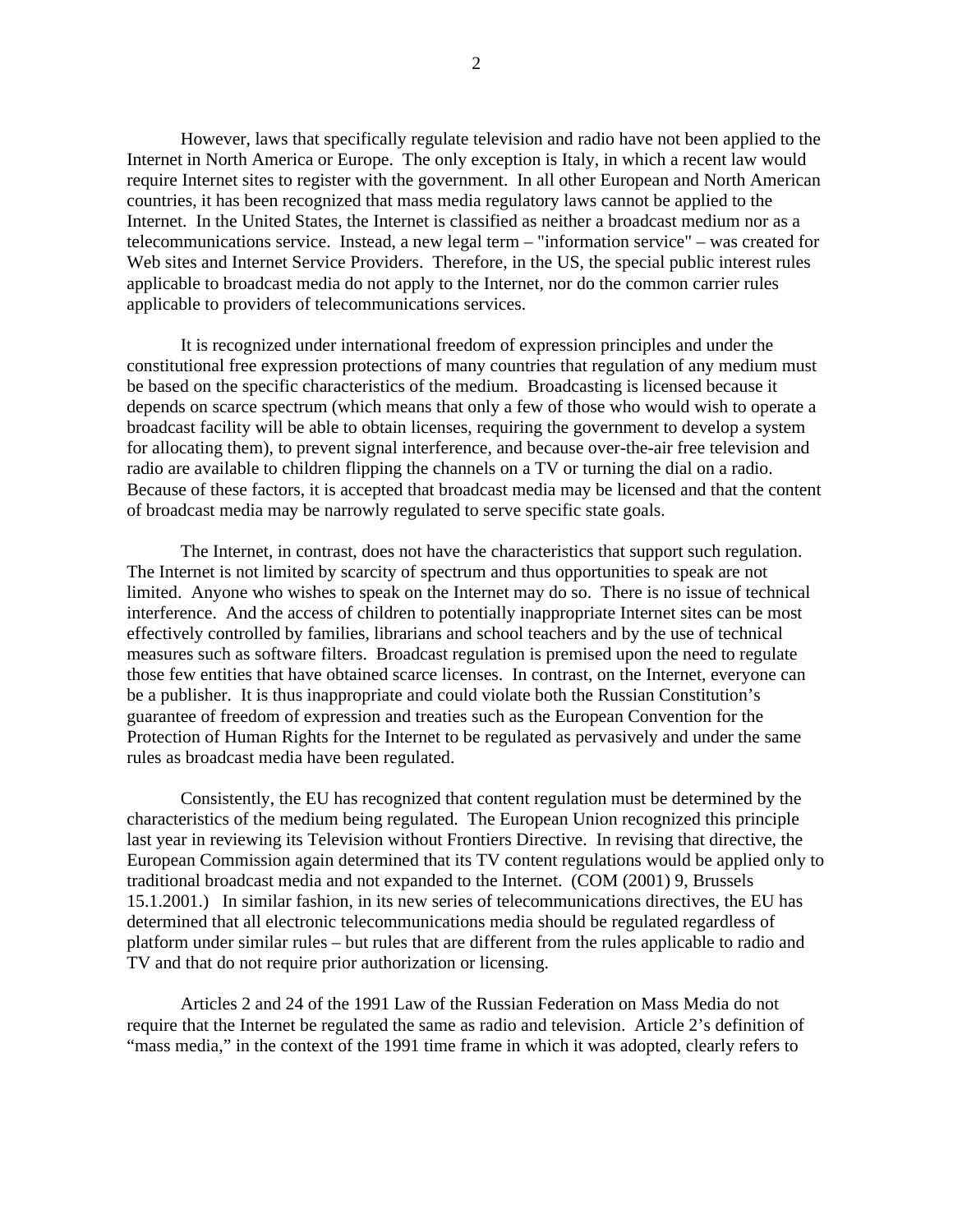However, laws that specifically regulate television and radio have not been applied to the Internet in North America or Europe. The only exception is Italy, in which a recent law would require Internet sites to register with the government. In all other European and North American countries, it has been recognized that mass media regulatory laws cannot be applied to the Internet. In the United States, the Internet is classified as neither a broadcast medium nor as a telecommunications service. Instead, a new legal term – "information service" – was created for Web sites and Internet Service Providers. Therefore, in the US, the special public interest rules applicable to broadcast media do not apply to the Internet, nor do the common carrier rules applicable to providers of telecommunications services.

It is recognized under international freedom of expression principles and under the constitutional free expression protections of many countries that regulation of any medium must be based on the specific characteristics of the medium. Broadcasting is licensed because it depends on scarce spectrum (which means that only a few of those who would wish to operate a broadcast facility will be able to obtain licenses, requiring the government to develop a system for allocating them), to prevent signal interference, and because over-the-air free television and radio are available to children flipping the channels on a TV or turning the dial on a radio. Because of these factors, it is accepted that broadcast media may be licensed and that the content of broadcast media may be narrowly regulated to serve specific state goals.

The Internet, in contrast, does not have the characteristics that support such regulation. The Internet is not limited by scarcity of spectrum and thus opportunities to speak are not limited. Anyone who wishes to speak on the Internet may do so. There is no issue of technical interference. And the access of children to potentially inappropriate Internet sites can be most effectively controlled by families, librarians and school teachers and by the use of technical measures such as software filters. Broadcast regulation is premised upon the need to regulate those few entities that have obtained scarce licenses. In contrast, on the Internet, everyone can be a publisher. It is thus inappropriate and could violate both the Russian Constitution's guarantee of freedom of expression and treaties such as the European Convention for the Protection of Human Rights for the Internet to be regulated as pervasively and under the same rules as broadcast media have been regulated.

Consistently, the EU has recognized that content regulation must be determined by the characteristics of the medium being regulated. The European Union recognized this principle last year in reviewing its Television without Frontiers Directive. In revising that directive, the European Commission again determined that its TV content regulations would be applied only to traditional broadcast media and not expanded to the Internet. (COM (2001) 9, Brussels 15.1.2001.) In similar fashion, in its new series of telecommunications directives, the EU has determined that all electronic telecommunications media should be regulated regardless of platform under similar rules – but rules that are different from the rules applicable to radio and TV and that do not require prior authorization or licensing.

Articles 2 and 24 of the 1991 Law of the Russian Federation on Mass Media do not require that the Internet be regulated the same as radio and television. Article 2's definition of "mass media," in the context of the 1991 time frame in which it was adopted, clearly refers to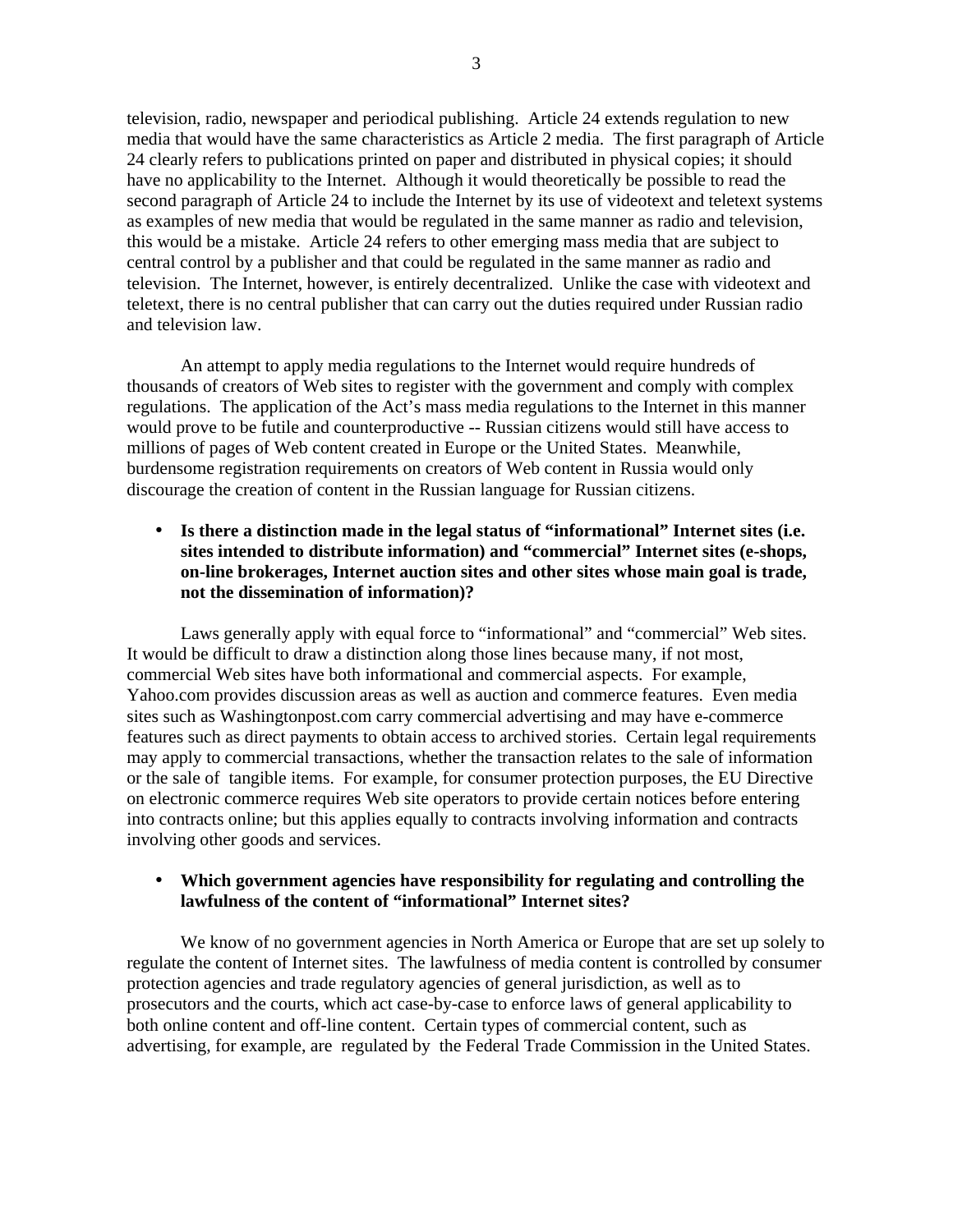television, radio, newspaper and periodical publishing. Article 24 extends regulation to new media that would have the same characteristics as Article 2 media. The first paragraph of Article 24 clearly refers to publications printed on paper and distributed in physical copies; it should have no applicability to the Internet. Although it would theoretically be possible to read the second paragraph of Article 24 to include the Internet by its use of videotext and teletext systems as examples of new media that would be regulated in the same manner as radio and television, this would be a mistake. Article 24 refers to other emerging mass media that are subject to central control by a publisher and that could be regulated in the same manner as radio and television. The Internet, however, is entirely decentralized. Unlike the case with videotext and teletext, there is no central publisher that can carry out the duties required under Russian radio and television law.

An attempt to apply media regulations to the Internet would require hundreds of thousands of creators of Web sites to register with the government and comply with complex regulations. The application of the Act's mass media regulations to the Internet in this manner would prove to be futile and counterproductive -- Russian citizens would still have access to millions of pages of Web content created in Europe or the United States. Meanwhile, burdensome registration requirements on creators of Web content in Russia would only discourage the creation of content in the Russian language for Russian citizens.

• **Is there a distinction made in the legal status of "informational" Internet sites (i.e. sites intended to distribute information) and "commercial" Internet sites (e-shops, on-line brokerages, Internet auction sites and other sites whose main goal is trade, not the dissemination of information)?**

Laws generally apply with equal force to "informational" and "commercial" Web sites. It would be difficult to draw a distinction along those lines because many, if not most, commercial Web sites have both informational and commercial aspects. For example, Yahoo.com provides discussion areas as well as auction and commerce features. Even media sites such as Washingtonpost.com carry commercial advertising and may have e-commerce features such as direct payments to obtain access to archived stories. Certain legal requirements may apply to commercial transactions, whether the transaction relates to the sale of information or the sale of tangible items. For example, for consumer protection purposes, the EU Directive on electronic commerce requires Web site operators to provide certain notices before entering into contracts online; but this applies equally to contracts involving information and contracts involving other goods and services.

#### • **Which government agencies have responsibility for regulating and controlling the lawfulness of the content of "informational" Internet sites?**

We know of no government agencies in North America or Europe that are set up solely to regulate the content of Internet sites. The lawfulness of media content is controlled by consumer protection agencies and trade regulatory agencies of general jurisdiction, as well as to prosecutors and the courts, which act case-by-case to enforce laws of general applicability to both online content and off-line content. Certain types of commercial content, such as advertising, for example, are regulated by the Federal Trade Commission in the United States.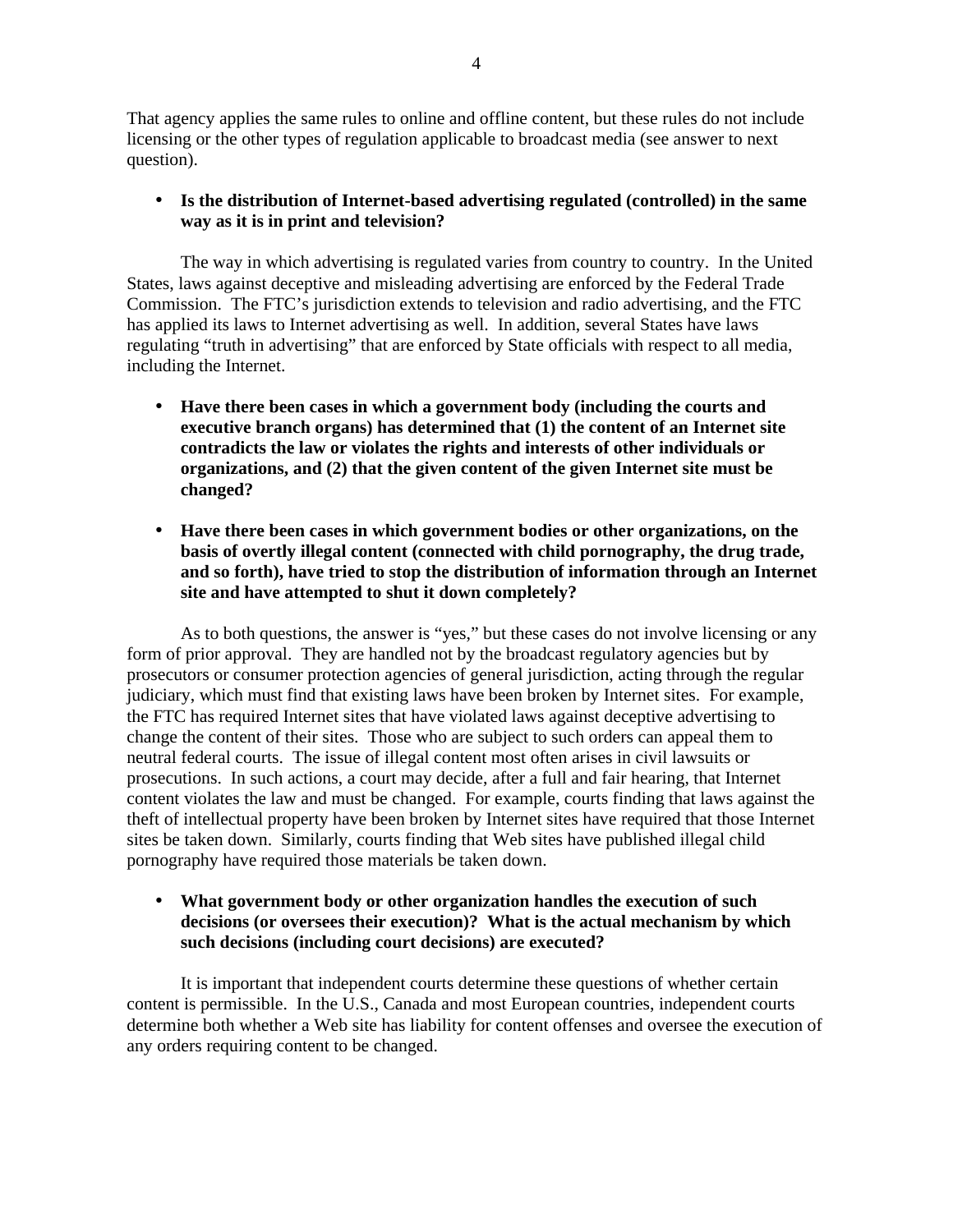That agency applies the same rules to online and offline content, but these rules do not include licensing or the other types of regulation applicable to broadcast media (see answer to next question).

# • **Is the distribution of Internet-based advertising regulated (controlled) in the same way as it is in print and television?**

The way in which advertising is regulated varies from country to country. In the United States, laws against deceptive and misleading advertising are enforced by the Federal Trade Commission. The FTC's jurisdiction extends to television and radio advertising, and the FTC has applied its laws to Internet advertising as well. In addition, several States have laws regulating "truth in advertising" that are enforced by State officials with respect to all media, including the Internet.

- **Have there been cases in which a government body (including the courts and executive branch organs) has determined that (1) the content of an Internet site contradicts the law or violates the rights and interests of other individuals or organizations, and (2) that the given content of the given Internet site must be changed?**
- **Have there been cases in which government bodies or other organizations, on the basis of overtly illegal content (connected with child pornography, the drug trade, and so forth), have tried to stop the distribution of information through an Internet site and have attempted to shut it down completely?**

As to both questions, the answer is "yes," but these cases do not involve licensing or any form of prior approval. They are handled not by the broadcast regulatory agencies but by prosecutors or consumer protection agencies of general jurisdiction, acting through the regular judiciary, which must find that existing laws have been broken by Internet sites. For example, the FTC has required Internet sites that have violated laws against deceptive advertising to change the content of their sites. Those who are subject to such orders can appeal them to neutral federal courts. The issue of illegal content most often arises in civil lawsuits or prosecutions. In such actions, a court may decide, after a full and fair hearing, that Internet content violates the law and must be changed. For example, courts finding that laws against the theft of intellectual property have been broken by Internet sites have required that those Internet sites be taken down. Similarly, courts finding that Web sites have published illegal child pornography have required those materials be taken down.

# • **What government body or other organization handles the execution of such decisions (or oversees their execution)? What is the actual mechanism by which such decisions (including court decisions) are executed?**

It is important that independent courts determine these questions of whether certain content is permissible. In the U.S., Canada and most European countries, independent courts determine both whether a Web site has liability for content offenses and oversee the execution of any orders requiring content to be changed.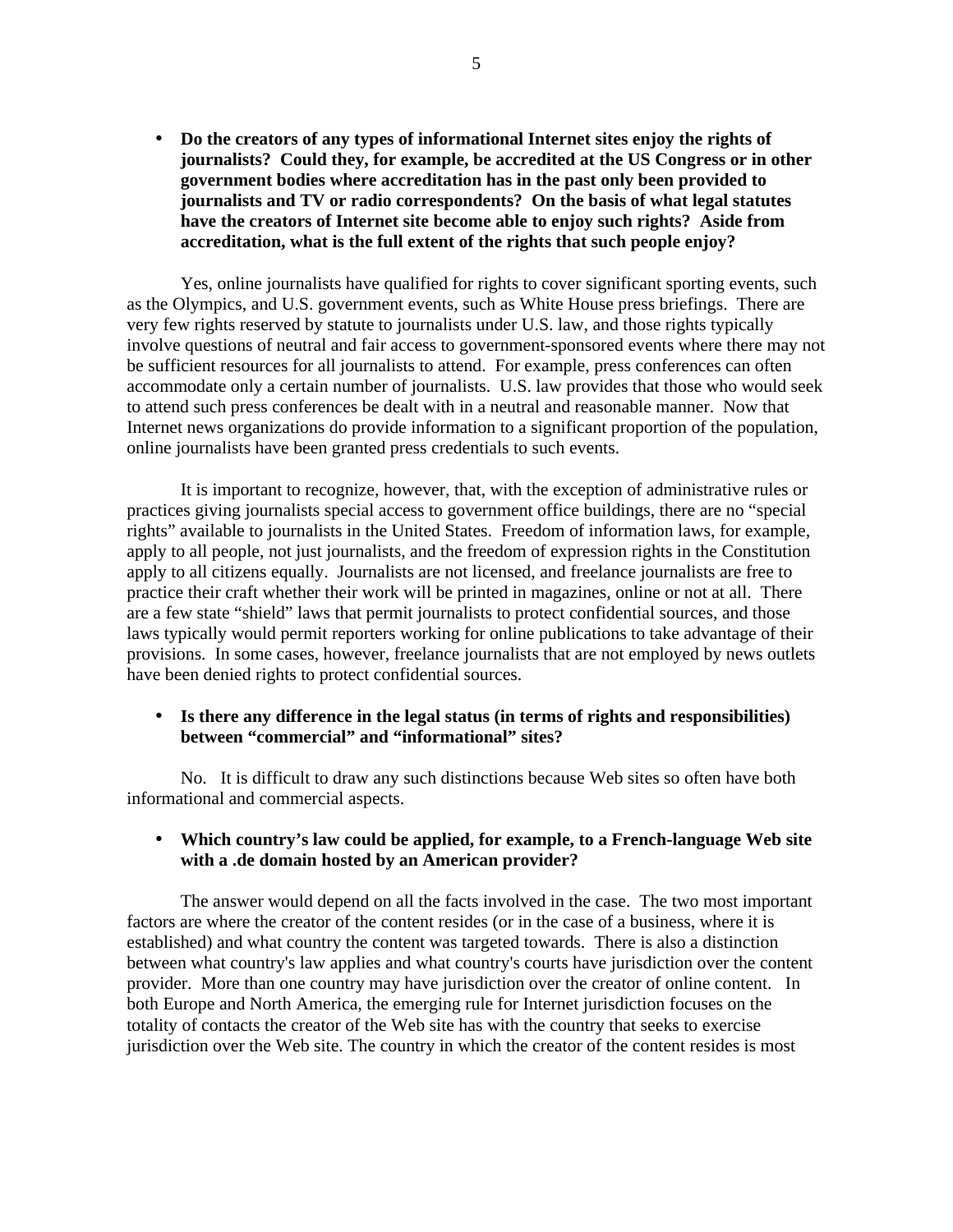• **Do the creators of any types of informational Internet sites enjoy the rights of journalists? Could they, for example, be accredited at the US Congress or in other government bodies where accreditation has in the past only been provided to journalists and TV or radio correspondents? On the basis of what legal statutes have the creators of Internet site become able to enjoy such rights? Aside from accreditation, what is the full extent of the rights that such people enjoy?**

Yes, online journalists have qualified for rights to cover significant sporting events, such as the Olympics, and U.S. government events, such as White House press briefings. There are very few rights reserved by statute to journalists under U.S. law, and those rights typically involve questions of neutral and fair access to government-sponsored events where there may not be sufficient resources for all journalists to attend. For example, press conferences can often accommodate only a certain number of journalists. U.S. law provides that those who would seek to attend such press conferences be dealt with in a neutral and reasonable manner. Now that Internet news organizations do provide information to a significant proportion of the population, online journalists have been granted press credentials to such events.

It is important to recognize, however, that, with the exception of administrative rules or practices giving journalists special access to government office buildings, there are no "special rights" available to journalists in the United States. Freedom of information laws, for example, apply to all people, not just journalists, and the freedom of expression rights in the Constitution apply to all citizens equally. Journalists are not licensed, and freelance journalists are free to practice their craft whether their work will be printed in magazines, online or not at all. There are a few state "shield" laws that permit journalists to protect confidential sources, and those laws typically would permit reporters working for online publications to take advantage of their provisions. In some cases, however, freelance journalists that are not employed by news outlets have been denied rights to protect confidential sources.

#### • **Is there any difference in the legal status (in terms of rights and responsibilities) between "commercial" and "informational" sites?**

No. It is difficult to draw any such distinctions because Web sites so often have both informational and commercial aspects.

#### • **Which country's law could be applied, for example, to a French-language Web site with a .de domain hosted by an American provider?**

The answer would depend on all the facts involved in the case. The two most important factors are where the creator of the content resides (or in the case of a business, where it is established) and what country the content was targeted towards. There is also a distinction between what country's law applies and what country's courts have jurisdiction over the content provider. More than one country may have jurisdiction over the creator of online content. In both Europe and North America, the emerging rule for Internet jurisdiction focuses on the totality of contacts the creator of the Web site has with the country that seeks to exercise jurisdiction over the Web site. The country in which the creator of the content resides is most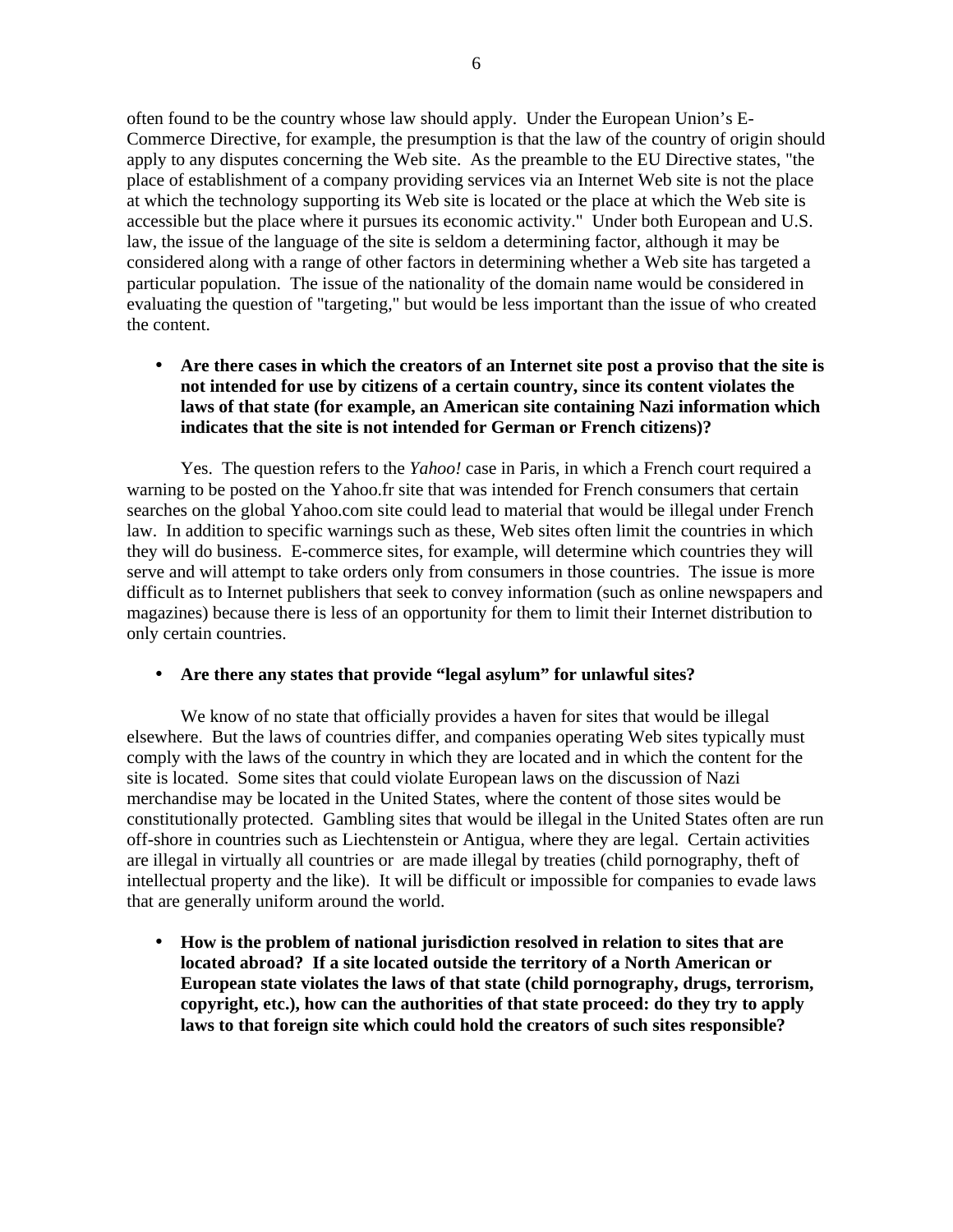often found to be the country whose law should apply. Under the European Union's E-Commerce Directive, for example, the presumption is that the law of the country of origin should apply to any disputes concerning the Web site. As the preamble to the EU Directive states, "the place of establishment of a company providing services via an Internet Web site is not the place at which the technology supporting its Web site is located or the place at which the Web site is accessible but the place where it pursues its economic activity." Under both European and U.S. law, the issue of the language of the site is seldom a determining factor, although it may be considered along with a range of other factors in determining whether a Web site has targeted a particular population. The issue of the nationality of the domain name would be considered in evaluating the question of "targeting," but would be less important than the issue of who created the content.

• **Are there cases in which the creators of an Internet site post a proviso that the site is not intended for use by citizens of a certain country, since its content violates the laws of that state (for example, an American site containing Nazi information which indicates that the site is not intended for German or French citizens)?**

Yes. The question refers to the *Yahoo!* case in Paris, in which a French court required a warning to be posted on the Yahoo.fr site that was intended for French consumers that certain searches on the global Yahoo.com site could lead to material that would be illegal under French law. In addition to specific warnings such as these, Web sites often limit the countries in which they will do business. E-commerce sites, for example, will determine which countries they will serve and will attempt to take orders only from consumers in those countries. The issue is more difficult as to Internet publishers that seek to convey information (such as online newspapers and magazines) because there is less of an opportunity for them to limit their Internet distribution to only certain countries.

#### • **Are there any states that provide "legal asylum" for unlawful sites?**

We know of no state that officially provides a haven for sites that would be illegal elsewhere. But the laws of countries differ, and companies operating Web sites typically must comply with the laws of the country in which they are located and in which the content for the site is located. Some sites that could violate European laws on the discussion of Nazi merchandise may be located in the United States, where the content of those sites would be constitutionally protected. Gambling sites that would be illegal in the United States often are run off-shore in countries such as Liechtenstein or Antigua, where they are legal. Certain activities are illegal in virtually all countries or are made illegal by treaties (child pornography, theft of intellectual property and the like). It will be difficult or impossible for companies to evade laws that are generally uniform around the world.

• **How is the problem of national jurisdiction resolved in relation to sites that are located abroad? If a site located outside the territory of a North American or European state violates the laws of that state (child pornography, drugs, terrorism, copyright, etc.), how can the authorities of that state proceed: do they try to apply laws to that foreign site which could hold the creators of such sites responsible?**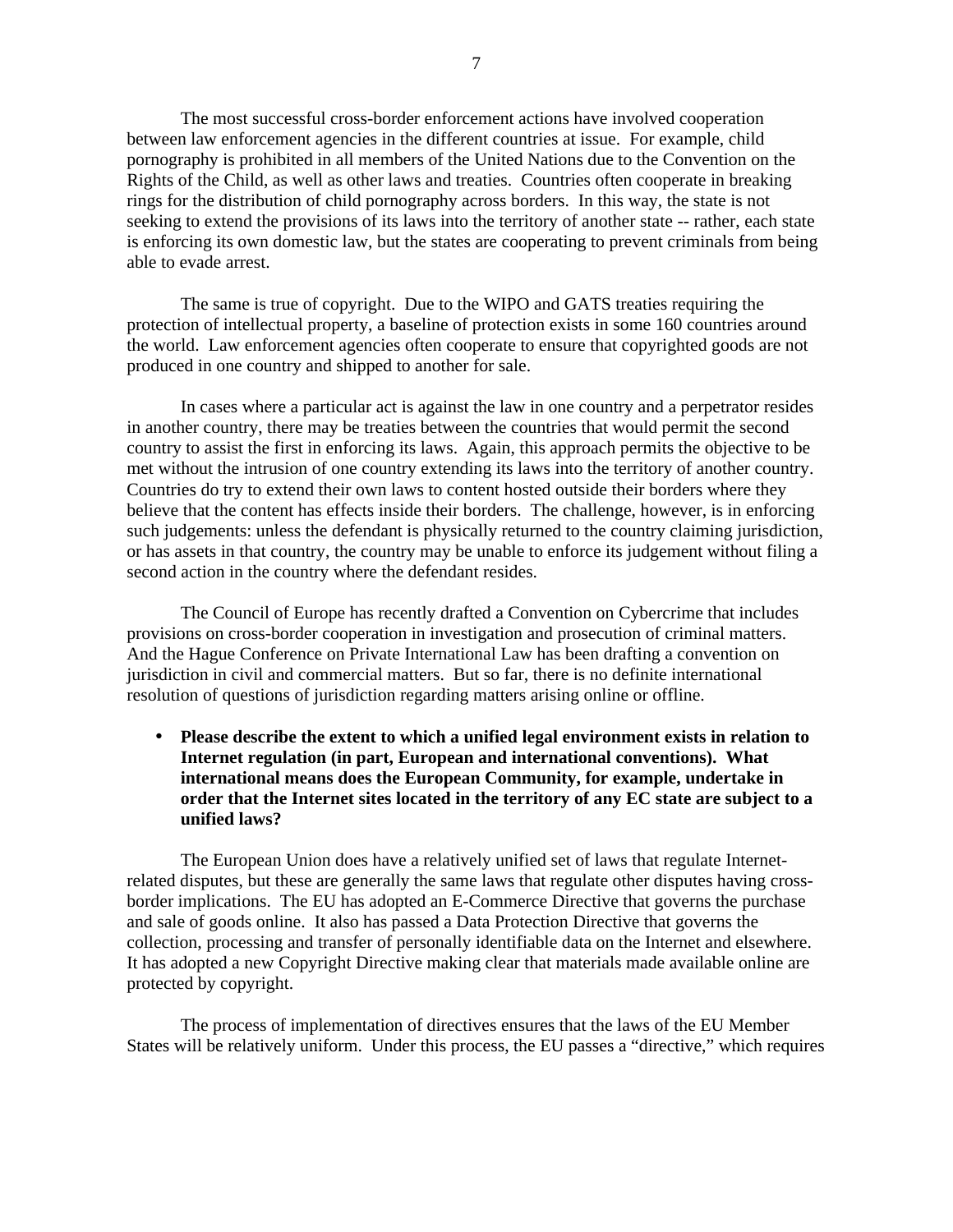The most successful cross-border enforcement actions have involved cooperation between law enforcement agencies in the different countries at issue. For example, child pornography is prohibited in all members of the United Nations due to the Convention on the Rights of the Child, as well as other laws and treaties. Countries often cooperate in breaking rings for the distribution of child pornography across borders. In this way, the state is not seeking to extend the provisions of its laws into the territory of another state -- rather, each state is enforcing its own domestic law, but the states are cooperating to prevent criminals from being able to evade arrest.

The same is true of copyright. Due to the WIPO and GATS treaties requiring the protection of intellectual property, a baseline of protection exists in some 160 countries around the world. Law enforcement agencies often cooperate to ensure that copyrighted goods are not produced in one country and shipped to another for sale.

In cases where a particular act is against the law in one country and a perpetrator resides in another country, there may be treaties between the countries that would permit the second country to assist the first in enforcing its laws. Again, this approach permits the objective to be met without the intrusion of one country extending its laws into the territory of another country. Countries do try to extend their own laws to content hosted outside their borders where they believe that the content has effects inside their borders. The challenge, however, is in enforcing such judgements: unless the defendant is physically returned to the country claiming jurisdiction, or has assets in that country, the country may be unable to enforce its judgement without filing a second action in the country where the defendant resides.

The Council of Europe has recently drafted a Convention on Cybercrime that includes provisions on cross-border cooperation in investigation and prosecution of criminal matters. And the Hague Conference on Private International Law has been drafting a convention on jurisdiction in civil and commercial matters. But so far, there is no definite international resolution of questions of jurisdiction regarding matters arising online or offline.

• **Please describe the extent to which a unified legal environment exists in relation to Internet regulation (in part, European and international conventions). What international means does the European Community, for example, undertake in order that the Internet sites located in the territory of any EC state are subject to a unified laws?**

The European Union does have a relatively unified set of laws that regulate Internetrelated disputes, but these are generally the same laws that regulate other disputes having crossborder implications. The EU has adopted an E-Commerce Directive that governs the purchase and sale of goods online. It also has passed a Data Protection Directive that governs the collection, processing and transfer of personally identifiable data on the Internet and elsewhere. It has adopted a new Copyright Directive making clear that materials made available online are protected by copyright.

The process of implementation of directives ensures that the laws of the EU Member States will be relatively uniform. Under this process, the EU passes a "directive," which requires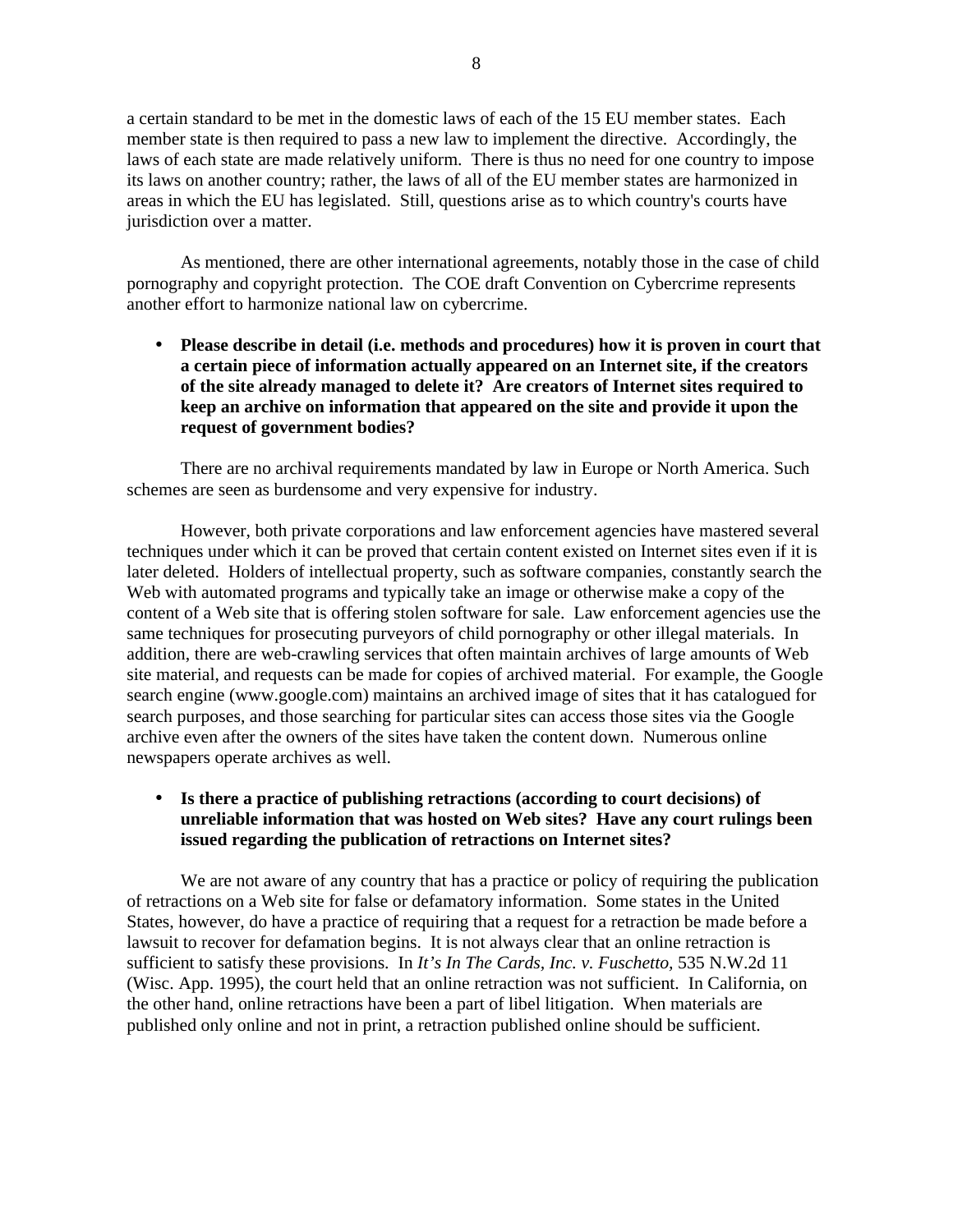a certain standard to be met in the domestic laws of each of the 15 EU member states. Each member state is then required to pass a new law to implement the directive. Accordingly, the laws of each state are made relatively uniform. There is thus no need for one country to impose its laws on another country; rather, the laws of all of the EU member states are harmonized in areas in which the EU has legislated. Still, questions arise as to which country's courts have jurisdiction over a matter.

As mentioned, there are other international agreements, notably those in the case of child pornography and copyright protection. The COE draft Convention on Cybercrime represents another effort to harmonize national law on cybercrime.

• **Please describe in detail (i.e. methods and procedures) how it is proven in court that a certain piece of information actually appeared on an Internet site, if the creators of the site already managed to delete it? Are creators of Internet sites required to keep an archive on information that appeared on the site and provide it upon the request of government bodies?**

There are no archival requirements mandated by law in Europe or North America. Such schemes are seen as burdensome and very expensive for industry.

However, both private corporations and law enforcement agencies have mastered several techniques under which it can be proved that certain content existed on Internet sites even if it is later deleted. Holders of intellectual property, such as software companies, constantly search the Web with automated programs and typically take an image or otherwise make a copy of the content of a Web site that is offering stolen software for sale. Law enforcement agencies use the same techniques for prosecuting purveyors of child pornography or other illegal materials. In addition, there are web-crawling services that often maintain archives of large amounts of Web site material, and requests can be made for copies of archived material. For example, the Google search engine (www.google.com) maintains an archived image of sites that it has catalogued for search purposes, and those searching for particular sites can access those sites via the Google archive even after the owners of the sites have taken the content down. Numerous online newspapers operate archives as well.

# • **Is there a practice of publishing retractions (according to court decisions) of unreliable information that was hosted on Web sites? Have any court rulings been issued regarding the publication of retractions on Internet sites?**

We are not aware of any country that has a practice or policy of requiring the publication of retractions on a Web site for false or defamatory information. Some states in the United States, however, do have a practice of requiring that a request for a retraction be made before a lawsuit to recover for defamation begins. It is not always clear that an online retraction is sufficient to satisfy these provisions. In *It's In The Cards, Inc. v. Fuschetto,* 535 N.W.2d 11 (Wisc. App. 1995), the court held that an online retraction was not sufficient. In California, on the other hand, online retractions have been a part of libel litigation. When materials are published only online and not in print, a retraction published online should be sufficient.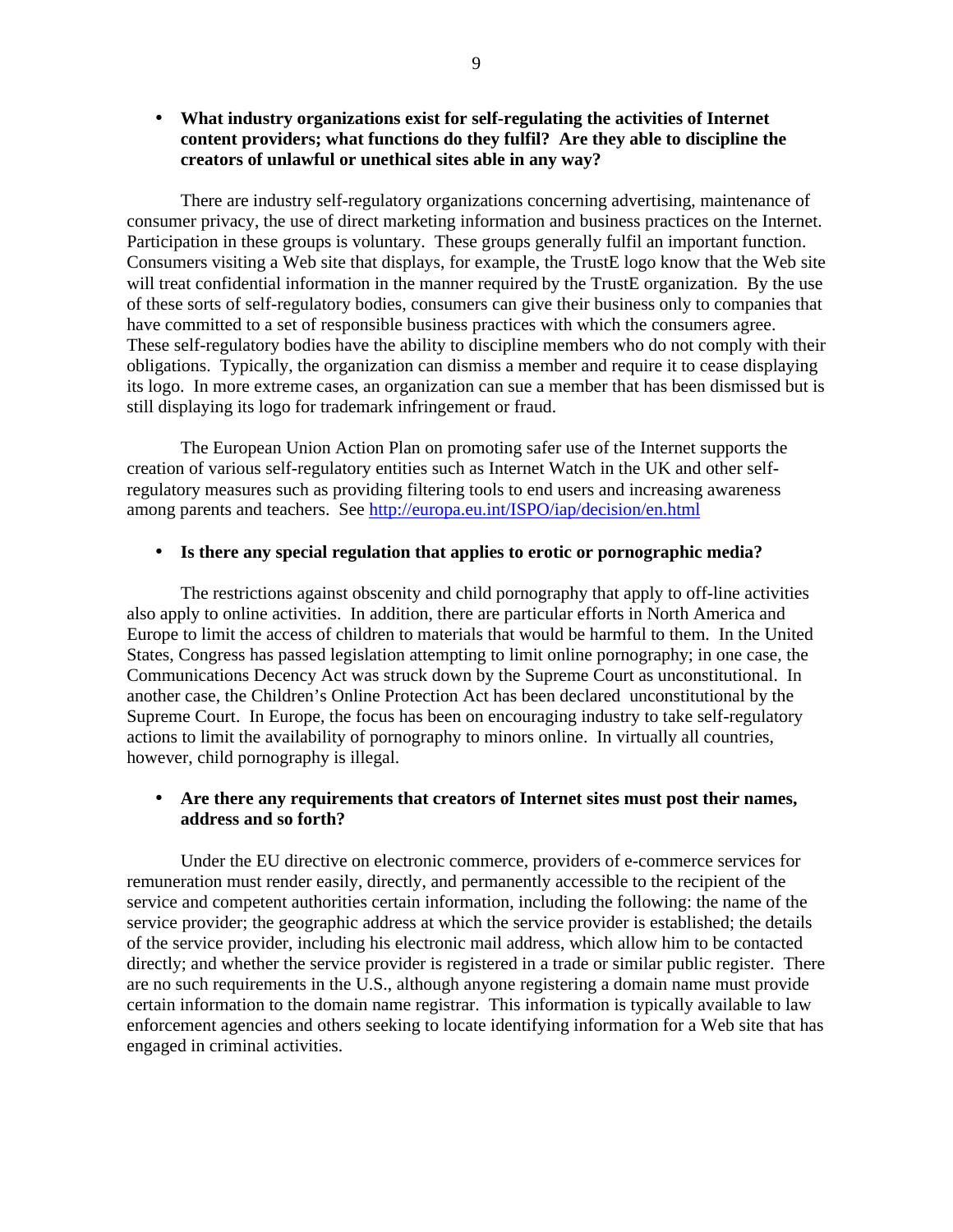# • **What industry organizations exist for self-regulating the activities of Internet content providers; what functions do they fulfil? Are they able to discipline the creators of unlawful or unethical sites able in any way?**

There are industry self-regulatory organizations concerning advertising, maintenance of consumer privacy, the use of direct marketing information and business practices on the Internet. Participation in these groups is voluntary. These groups generally fulfil an important function. Consumers visiting a Web site that displays, for example, the TrustE logo know that the Web site will treat confidential information in the manner required by the TrustE organization. By the use of these sorts of self-regulatory bodies, consumers can give their business only to companies that have committed to a set of responsible business practices with which the consumers agree. These self-regulatory bodies have the ability to discipline members who do not comply with their obligations. Typically, the organization can dismiss a member and require it to cease displaying its logo. In more extreme cases, an organization can sue a member that has been dismissed but is still displaying its logo for trademark infringement or fraud.

The European Union Action Plan on promoting safer use of the Internet supports the creation of various self-regulatory entities such as Internet Watch in the UK and other selfregulatory measures such as providing filtering tools to end users and increasing awareness among parents and teachers. See http://europa.eu.int/ISPO/iap/decision/en.html

#### • **Is there any special regulation that applies to erotic or pornographic media?**

The restrictions against obscenity and child pornography that apply to off-line activities also apply to online activities. In addition, there are particular efforts in North America and Europe to limit the access of children to materials that would be harmful to them. In the United States, Congress has passed legislation attempting to limit online pornography; in one case, the Communications Decency Act was struck down by the Supreme Court as unconstitutional. In another case, the Children's Online Protection Act has been declared unconstitutional by the Supreme Court. In Europe, the focus has been on encouraging industry to take self-regulatory actions to limit the availability of pornography to minors online. In virtually all countries, however, child pornography is illegal.

## • **Are there any requirements that creators of Internet sites must post their names, address and so forth?**

Under the EU directive on electronic commerce, providers of e-commerce services for remuneration must render easily, directly, and permanently accessible to the recipient of the service and competent authorities certain information, including the following: the name of the service provider; the geographic address at which the service provider is established; the details of the service provider, including his electronic mail address, which allow him to be contacted directly; and whether the service provider is registered in a trade or similar public register. There are no such requirements in the U.S., although anyone registering a domain name must provide certain information to the domain name registrar. This information is typically available to law enforcement agencies and others seeking to locate identifying information for a Web site that has engaged in criminal activities.